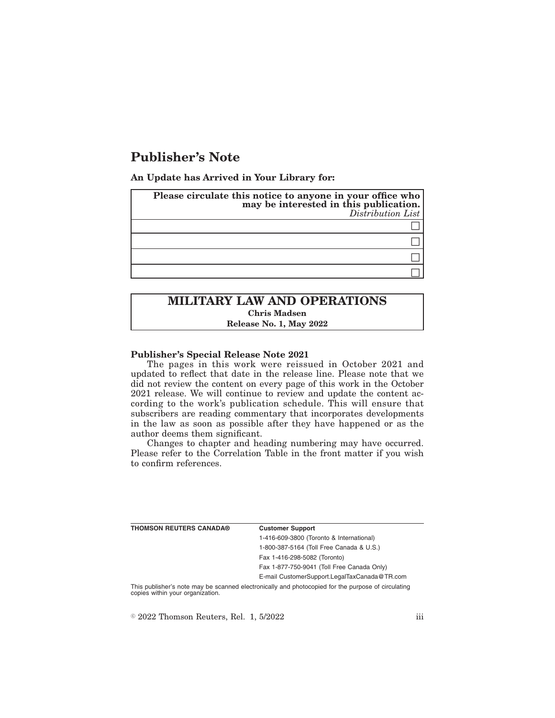# **Publisher's Note**

**An Update has Arrived in Your Library for:**

| Please circulate this notice to anyone in your office who<br>may be interested in this publication.<br>Distribution List |
|--------------------------------------------------------------------------------------------------------------------------|
|                                                                                                                          |
|                                                                                                                          |
|                                                                                                                          |
|                                                                                                                          |
|                                                                                                                          |

# **MILITARY LAW AND OPERATIONS Chris Madsen Release No. 1, May 2022**

#### **Publisher's Special Release Note 2021**

The pages in this work were reissued in October 2021 and updated to reflect that date in the release line. Please note that we did not review the content on every page of this work in the October 2021 release. We will continue to review and update the content according to the work's publication schedule. This will ensure that subscribers are reading commentary that incorporates developments in the law as soon as possible after they have happened or as the author deems them significant.

Changes to chapter and heading numbering may have occurred. Please refer to the Correlation Table in the front matter if you wish to confirm references.

| <b>THOMSON REUTERS CANADA®</b> | <b>Customer Support</b>                      |
|--------------------------------|----------------------------------------------|
|                                | 1-416-609-3800 (Toronto & International)     |
|                                | 1-800-387-5164 (Toll Free Canada & U.S.)     |
|                                | Fax 1-416-298-5082 (Toronto)                 |
|                                | Fax 1-877-750-9041 (Toll Free Canada Only)   |
|                                | E-mail CustomerSupport.LegalTaxCanada@TR.com |

This publisher's note may be scanned electronically and photocopied for the purpose of circulating copies within your organization.

 $\degree$  2022 Thomson Reuters, Rel. 1, 5/2022 iii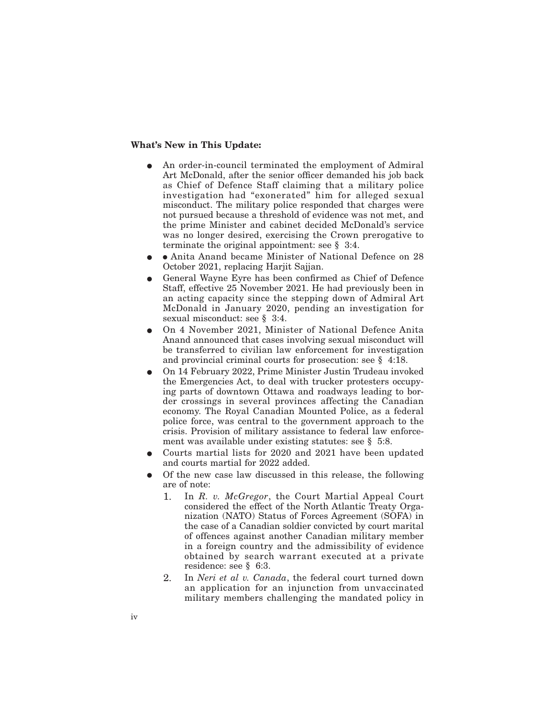### **What's New in This Update:**

- An order-in-council terminated the employment of Admiral Art McDonald, after the senior officer demanded his job back as Chief of Defence Staff claiming that a military police investigation had "exonerated" him for alleged sexual misconduct. The military police responded that charges were not pursued because a threshold of evidence was not met, and the prime Minister and cabinet decided McDonald's service was no longer desired, exercising the Crown prerogative to terminate the original appointment: see § 3:4.
- Anita Anand became Minister of National Defence on 28 October 2021, replacing Harjit Sajjan.
- General Wayne Eyre has been confirmed as Chief of Defence Staff, effective 25 November 2021. He had previously been in an acting capacity since the stepping down of Admiral Art McDonald in January 2020, pending an investigation for sexual misconduct: see § 3:4.
- E On 4 November 2021, Minister of National Defence Anita Anand announced that cases involving sexual misconduct will be transferred to civilian law enforcement for investigation and provincial criminal courts for prosecution: see § 4:18.
- E On 14 February 2022, Prime Minister Justin Trudeau invoked the Emergencies Act, to deal with trucker protesters occupying parts of downtown Ottawa and roadways leading to border crossings in several provinces affecting the Canadian economy. The Royal Canadian Mounted Police, as a federal police force, was central to the government approach to the crisis. Provision of military assistance to federal law enforcement was available under existing statutes: see § 5:8.
- Courts martial lists for 2020 and 2021 have been updated and courts martial for 2022 added.
- E Of the new case law discussed in this release, the following are of note:
	- 1. In *R. v. McGregor*, the Court Martial Appeal Court considered the effect of the North Atlantic Treaty Organization (NATO) Status of Forces Agreement (SOFA) in the case of a Canadian soldier convicted by court marital of offences against another Canadian military member in a foreign country and the admissibility of evidence obtained by search warrant executed at a private residence: see § 6:3.
	- 2. In *Neri et al v. Canada*, the federal court turned down an application for an injunction from unvaccinated military members challenging the mandated policy in